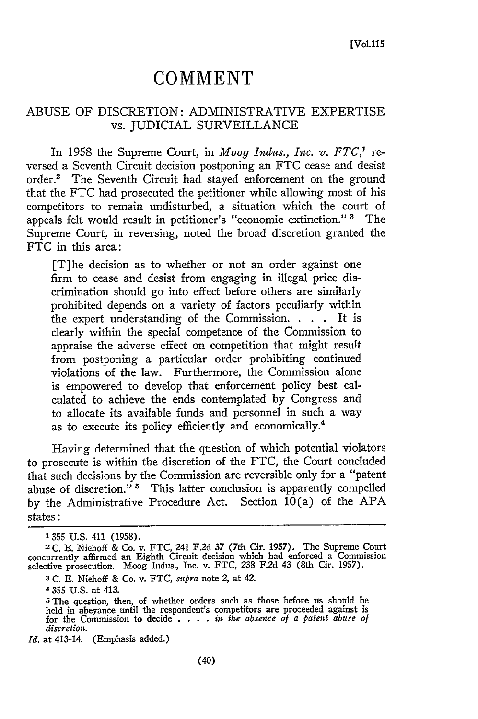## **COMMENT**

## ABUSE OF DISCRETION: ADMINISTRATIVE EXPERTISE vs. JUDICIAL SURVEILLANCE

In 1958 the Supreme Court, in *Moog Indus., Inc. v. FTC,'* reversed a Seventh Circuit decision postponing an FTC cease and desist order.2 The Seventh Circuit had stayed enforcement on the ground that the FTC had prosecuted the petitioner while allowing most of his competitors to remain undisturbed, a situation which the court of appeals felt would result in petitioner's "economic extinction." **'** The Supreme Court, in reversing, noted the broad discretion granted the FTC in this area:

[T]he decision as to whether or not an order against one firm to cease and desist from engaging in illegal price discrimination should go into effect before others are similarly prohibited depends on a variety of factors peculiarly within the expert understanding of the Commission. **. . .** It is clearly within the special competence of the Commission to appraise the adverse effect on competition that might result from postponing a particular order prohibiting continued violations of the law. Furthermore, the Commission alone is empowered to develop that enforcement policy best calculated to achieve the ends contemplated by Congress and to allocate its available funds and personnel in such a way as to execute its policy efficiently and economically.4

Having determined that the question of which potential violators to prosecute is within the discretion of the FTC, the Court concluded that such decisions by the Commission are reversible only for a "patent abuse of discretion." **5** This latter conclusion is apparently compelled by the Administrative Procedure Act. Section  $10(a)$  of the APA states:

**<sup>1355</sup>** U.S. 411 (1958).

**<sup>2</sup>** C. E. Niehoff & Co. v. FTC, 241 F.2d 37 (7th Cir. 1957). The Supreme Court concurrently affirmed an Eighth Circuit decision which had enforced a Commission selective prosecution. Moog Indus., Inc. v. FTC, 238 F.2d 43 (8th Cir. 1957).

**<sup>3</sup>** C. E. Niehoff & Co. v. FTC, *supra* note 2, at 42.

<sup>4355</sup> U.S. at 413.

 $5$  The question, then, of whether orders such as those before us should be held in abeyance until the respondent's competitors are proceeded against is for the Commission to decide  $\ldots$ , in the absence of a patent abuse *discretion.*

*Id.* at 413-14. (Emphasis added.)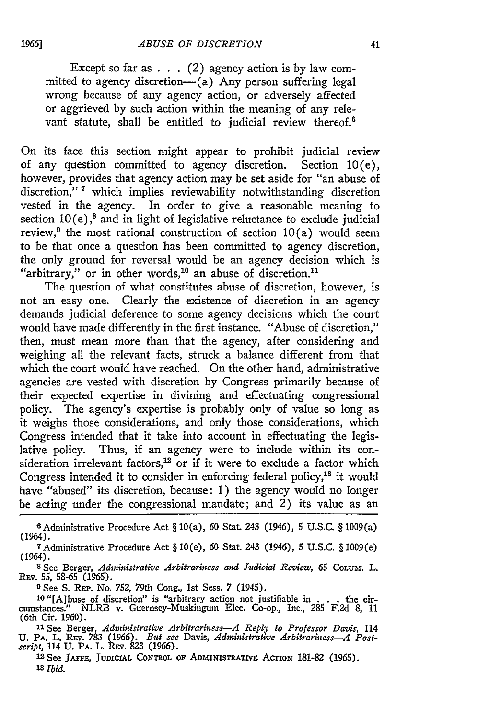Except so far as . . **.** (2) agency action is by law committed to agency discretion-(a) Any person suffering legal wrong because of any agency action, or adversely affected or aggrieved **by** such action within the meaning of any relevant statute, shall be entitled to judicial review thereof.<sup>6</sup>

On its face this section might appear to prohibit judicial review of any question committed to agency discretion. Section 10(e), however, provides that agency action may be set aside for "an abuse of discretion," **7** which implies reviewability notwithstanding discretion vested in the agency. In order to give a reasonable meaning to section  $10(e)$ ,<sup>8</sup> and in light of legislative reluctance to exclude judicial review,<sup>9</sup> the most rational construction of section  $10(a)$  would seem to be that once a question has been committed to agency discretion, the only ground for reversal would be an agency decision which is "arbitrary," or in other words,<sup>10</sup> an abuse of discretion.<sup>11</sup>

The question of what constitutes abuse of discretion, however, is not an easy one. Clearly the existence of discretion in an agency demands judicial deference to some agency decisions which the court would have made differently in the first instance. "Abuse of discretion," then, must mean more than that the agency, after considering and weighing all the relevant facts, struck a balance different from that which the court would have reached. On the other hand, administrative agencies are vested with discretion **by** Congress primarily because of their expected expertise in divining and effectuating congressional policy. The agency's expertise is probably only of value so long as it weighs those considerations, and only those considerations, which Congress intended that it take into account in effectuating the legislative policy. Thus, if an agency were to include within its consideration irrelevant factors,<sup>12</sup> or if it were to exclude a factor which Congress intended it to consider in enforcing federal policy, $13$  it would have "abused" its discretion, because: 1) the agency would no longer be acting under the congressional mandate; and  $2$ ) its value as an

(1964). <sup>7</sup> Administrative Procedure Act § 10(e), 60 Stat. 243 (1946), **5** U.S.C. § 1009(e) (1964).

**8** See Berger, *Administrative Arbitrariness and Aidicial Review, 65* **COLUm.** L. REv. 55, **58-65 (1965).**

**9** See **S.** REP'. No. **752,** 79th Cong., **1st** Sess. 7 (1945).

**<sup>10</sup>**"[A]buse of discretion" is "arbitrary action not justifiable in . . . the circumstances." NLRB v. Guernsey-Muskingum Elec. Co-op., Inc., **285** F.2d 8, 11 (6th Cir. 1960).

**<sup>31</sup>**See Berger, *Administrative Arbitrariness-A Reply to Professor Davis,* <sup>114</sup> **U.** PA. L. Rxv. 783 **(1966).** *But see* Davis, *Administrative Arbitrariness-A Postscript,* 114 **U.** PA. L. **REv.** 823 (1966).

<sup>12</sup> See JAFFE, JUDICIAL CONTROL OF ADMINISTRATIVE ACTION 181-82 (1965). *13 Ibid.*

IAdministrative Procedure Act § 10(a), **60** Stat. 243 (1946), 5 **U.S.C.** § 1009(a)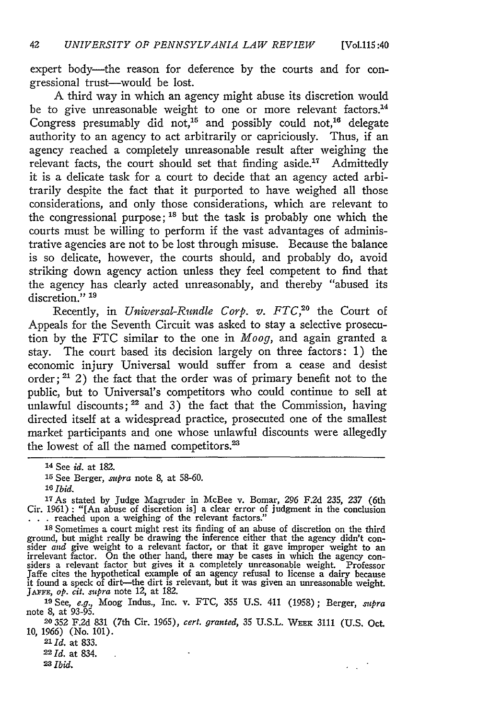expert body—the reason for deference by the courts and for congressional trust-would be lost.

A third way in which an agency might abuse its discretion would be to give unreasonable weight to one or more relevant factors.<sup>14</sup> Congress presumably did not,<sup>15</sup> and possibly could not,<sup>16</sup> delegate authority to an agency to act arbitrarily or capriciously. Thus, if an agency reached a completely unreasonable result after weighing the relevant facts, the court should set that finding aside.<sup>17</sup> Admittedly it is a delicate task for a court to decide that an agency acted arbitrarily despite the fact that it purported to have weighed all those considerations, and only those considerations, which are relevant to the congressional purpose;  $^{18}$  but the task is probably one which the courts must be willing to perform if the vast advantages of administrative agencies are not to be lost through misuse. Because the balance is so delicate, however, the courts should, and probably do, avoid striking down agency action unless they feel competent to find that the agency has clearly acted unreasonably, and thereby "abused its discretion." **19**

Recently, in *Universal-Rundle Corp. v. FTC,?0* the Court of Appeals for the Seventh Circuit was asked to stay a selective prosecution **by** the FTC similar to the one in *Moog,* and again granted a stay. The court based its decision largely on three factors: 1) the economic injury Universal would suffer from a cease and desist order;  $21$  2) the fact that the order was of primary benefit not to the public, but to Universal's competitors who could continue to sell at unlawful discounts; **22** and 3) the fact that the Commission, having directed itself at a widespread practice, prosecuted one of the smallest market participants and one whose unlawful discounts were allegedly the lowest of all the named competitors.<sup>23</sup>

<sup>17</sup> As stated by Judge Magruder in McBee v. Bomar, 296 F.2d 235, 237 (6th Cir. 1961): "[An abuse of discretion is] a clear error of judgment in the conclusion **. . .** reached upon a weighing of the relevant factors."

**<sup>18</sup>**Sometimes a court might rest its finding of an abuse of discretion on the third ground, but might really be drawing the inference either that the agency didn't consider and give weight to a relevant factor, or that it gave improper weight to an irrelevant factor. On the other hand, there may be cases **JAFFE,** *op. cit. supra* note 12, at 182.

**<sup>19</sup>**See, *e.g.,* Moog Indus., Inc. v. FTC, 355 U.S. 411 (1958); Berger, *supra* note 8, at 93-95.

**20 352** F.2d 831 (7th Cir. 1965), *cert. granted, 35* U.S.L. **WEK** 3111 (U.S. Oct. 10, 1966) (No. 101). *<sup>21</sup> 1d.* at 833.

 $\sim 10^{-7}$ 

22 *Id.* at 834. *23Ibid.*

<sup>14</sup> See *id.* at 182. **<sup>15</sup>**See Berger, *supra* note 8, at 58-60. *<sup>16</sup>Ibid.*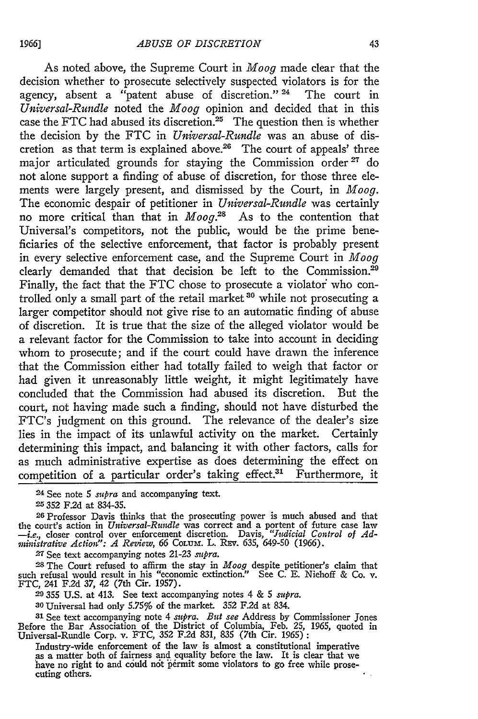As noted above, the Supreme Court in *Moog* made clear that the decision whether to prosecute selectively suspected violators is for the agency, absent a "patent abuse of discretion." **24** The court in *Universal-Rundle* noted the *Moog* opinion and decided that in this case the FTC had abused its discretion.<sup>25</sup> The question then is whether the decision by the FTC in *Universal-Rundle* was an abuse of discretion as that term is explained above.<sup>26</sup> The court of appeals' three major articulated grounds for staying the Commission order  $27$  do not alone support a finding of abuse of discretion, for those three elements were largely present, and dismissed by the Court, in *Moog.* The economic despair of petitioner in *Universal-Rundle* was certainly no more critical than that in *Moog."'* As to the contention that Universal's competitors, not the public, would be the prime beneficiaries of the selective enforcement, that factor is probably present in every selective enforcement case, and the Supreme Court in *Moog* clearly demanded that that decision be left to the Commission.<sup>29</sup> Finally, the fact that the FTC chose to prosecute a violator who controlled only a small part of the retail market 30 while not prosecuting a larger competitor should not give rise to an automatic finding of abuse of discretion. It is true that the size of the alleged violator would be a relevant factor for the Commission to take into account in deciding whom to prosecute; and if the court could have drawn the inference that the Commission either had totally failed to weigh that factor or had given it unreasonably little weight, it might legitimately have concluded that the Commission had abused its discretion. But the court, not having made such a finding, should not have disturbed the FTC's judgment on this ground. The relevance of the dealer's size lies in the impact of its unlawful activity on the market. Certainly determining this impact, and balancing it with other factors, calls for as much administrative expertise as does determining the effect on competition of a particular order's taking effect.<sup>31</sup> Furthermore, it

4 See note 5 *mupra* and accompanying text.

*<sup>2</sup>*352 F.2d at 834-35. **<sup>2</sup> <sup>6</sup>**Professor Davis thinks that the prosecuting power is much abused and that the court's action in *Universal-Rundle* was correct and a portent of future case law -i.e., closer control over enforcement discretion. Davis, *"Judicial Control of Adminstrative Actioie': A Review, 66* CoLum. L. REv. 635, 649-50 (1966).

27 See text accompanying notes 21-23 *supra*.<br><sup>28</sup> The Court refused to affirm the stay in *Moog* despite petitioner's claim that such refusal would result in his "economic extinction." See C. E. Niehoff & Co. v. FTC, 241 F.2d 37, 42 (7th Cir. 1957).

**<sup>29</sup>355** U.S. at 413. See text accompanying notes 4 & 5 *mipra.*

**<sup>30</sup>**Universal had only 5.75% of the market. 352 F.2d at 834.

**<sup>31</sup>**See text accompanying note 4 *mtpra. But see* Address by Commissioner Jones Before the Bar Association of the District of Columbia, Feb. 25, 1965, quoted in Universal-Rundle Corp. v. FTC, 352 F.2d 831, 835 (7th Cir. 1965) **:**

Industry-wide enforcement of the law is almost a constitutional imperative as a matter both of fairness and equality before the law. It is clear that we have no right to and could not permit some violators to go free while prosecuting others.  $\epsilon$  .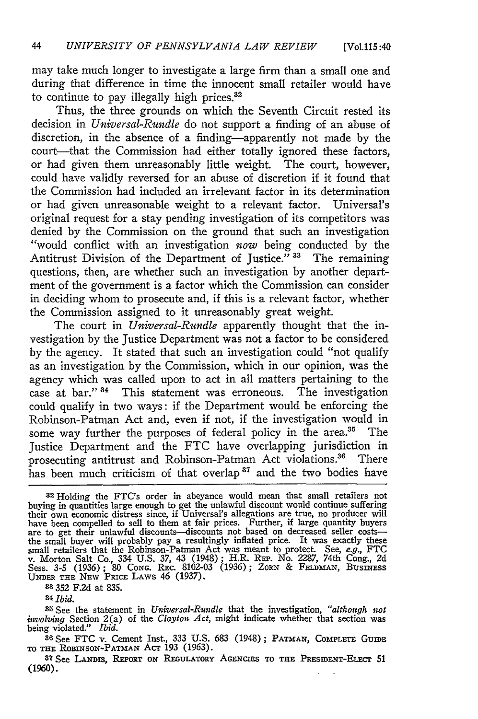may take much longer to investigate a large firm than a small one and during that difference in time the innocent small retailer would have to continue to pay illegally high prices.<sup>3</sup>

Thus, the three grounds on which the Seventh Circuit rested its decision in *Universal-Rundle* do not support a finding of an abuse of discretion, in the absence of a finding-apparently not made by the court-that the Commission had either totally ignored these factors, or had given them unreasonably little weight. The court, however, could have validly reversed for an abuse of discretion if it found that the Commission had included an irrelevant factor in its determination or had given unreasonable weight to a relevant factor. Universal's original request for a stay pending investigation of its competitors was denied by the Commission on the ground that such an investigation "would conflict with an investigation *now* being conducted by the Antitrust Division of the Department of Justice."<sup>33</sup> The remaining questions, then, are whether such an investigation by another department of the government is a factor which the Commission can consider in deciding whom to prosecute and, if this is a relevant factor, whether the Commission assigned to it unreasonably great weight.

The court in *Universal-Rundle* apparently thought that the investigation by the Justice Department was not a factor to be considered by the agency. It stated that such an investigation could "not qualify as an investigation by the Commission, which in our opinion, was the agency which was called upon to act in all matters pertaining to the case at bar." **4** This statement was erroneous. The investigation could qualify in two ways: if the Department would be enforcing the Robinson-Patman Act and, even if not, if the investigation would in some way further the purposes of federal policy in the area.<sup>35</sup> The Justice Department and the FTC have overlapping jurisdiction in prosecuting antitrust and Robinson-Patman Act violations.36 There has been much criticism of that overlap **"** and the two bodies have

**<sup>83</sup>**352 F.2d at 835.

*<sup>24</sup>Ibid.*

<sup>35</sup> See the statement in *Universal-Rundle* that the investigation, "although not involving Section  $2(a)$  of the *Clayton Act*, might indicate whether that section was being violated." *Ibid.* 

**<sup>36</sup>**See FTC v. Cement Inst, 333 U.S. 683 (1948); **PATMAN, COMPLETE GUIDE TO THE** ROBINSON-PATMAN ACT 193 (1963).

**87 See LANDIS, REPORT ON** REGULATORY **AGENCIES** TO **THE PRESiDENT-ELECT** 51 (1960).

<sup>&</sup>lt;sup>32</sup> Holding the FTC's order in abeyance would mean that small retailers not buying in quantities large enough to get the unlawful discount would continue suffering<br>their own economic distress since, if Universal's allegations are true, no producer will<br>have been compelled to sell to them at fair p are to get their unlawful discounts—discounts not based on decreased seller costs—<br>the small buyer will probably pay a resultingly inflated price. It was exactly these<br>small retailers that the Robinson-Patrnan Act was mean **UNDER** THE **NEW** PRICE LAWS 46 (1937).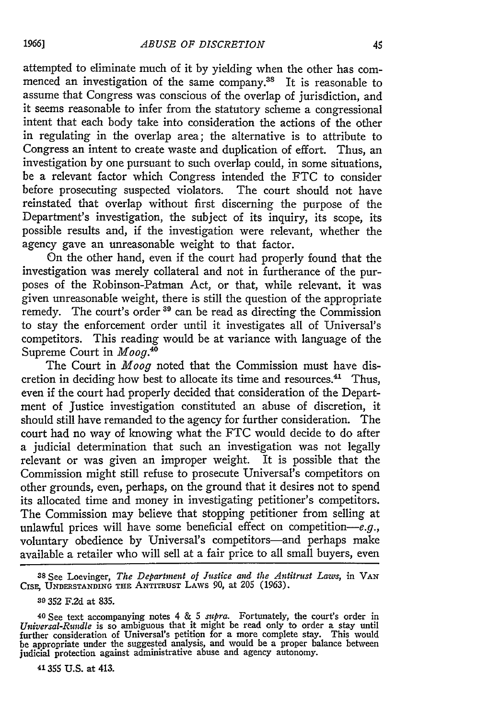attempted to eliminate much of it by yielding when the other has commenced an investigation of the same company.<sup>38</sup> It is reasonable to assume that Congress was conscious of the overlap of jurisdiction, and it seems reasonable to infer from the statutory scheme a congressional intent that each body take into consideration the actions of the other in regulating in the overlap area; the alternative is to attribute to Congress an intent to create waste and duplication of effort. Thus, an investigation by one pursuant to such overlap could, in some situations, be a relevant factor which Congress intended the FTC to consider before prosecuting suspected violators. The court should not have reinstated that overlap without first discerning the purpose of the Department's investigation, the subject of its inquiry, its scope, its possible results and, if the investigation were relevant, whether the agency gave an unreasonable weight to that factor.

On the other hand, even if the court had properly found that the investigation was merely collateral and not in furtherance of the purposes of the Robinson-Patman Act, or that, while relevant, it was given unreasonable weight, there is still the question of the appropriate remedy. The court's order <sup>39</sup> can be read as directing the Commission to stay the enforcement order until it investigates all of Universal's competitors. This reading would be at variance with language of the Supreme Court in *Moog*.<sup>40</sup>

The Court in *Moog* noted that the Commission must have discretion in deciding how best to allocate its time and resources.<sup>41</sup> Thus, even if the court had properly decided that consideration of the Department of Justice investigation constituted an abuse of discretion, it should still have remanded to the agency for further consideration. The court had no way of knowing what the FTC would decide to do after a judicial determination that such an investigation was not legally relevant or was given an improper weight. It is possible that the Commission might still refuse to prosecute Universal's competitors on other grounds, even, perhaps, on the ground that it desires not to spend its allocated time and money in investigating petitioner's competitors. The Commission may believe that stopping petitioner from selling at unlawful prices will have some beneficial effect on competition-e.g., voluntary obedience by Universal's competitors-and perhaps make available a retailer who will sell at a fair price to all small buyers, even

**41355 U.S.** at 413.

**<sup>38</sup>** See Loevinger, *The Department of Aistice and the Antitrust Laws,* in **VAN** CISE, **UNDERSTANDING** THE ANTITRUST LAws 90, at 205 (1963).

**<sup>39 352</sup> F.2d** at 835.

**<sup>40</sup>**See text accompanying notes 4 & 5 *supra.* Fortunately, the court's order in *Universal-Rundle* is so ambiguous that it might be read only to order a stay until further consideration of Universal's petition for a more complete stay. This would be appropriate under the suggested analysis, and would be a proper balance between judicial protection against administrative abuse and agency autonomy.